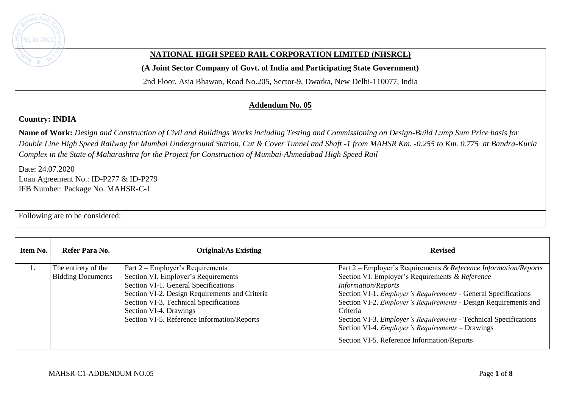

## **NATIONAL HIGH SPEED RAIL CORPORATION LIMITED (NHSRCL)**

**(A Joint Sector Company of Govt. of India and Participating State Government)** 

2nd Floor, Asia Bhawan, Road No.205, Sector-9, Dwarka, New Delhi-110077, India

## **Addendum No. 05**

## **Country: INDIA**

**Name of Work:** *Design and Construction of Civil and Buildings Works including Testing and Commissioning on Design-Build Lump Sum Price basis for Double Line High Speed Railway for Mumbai Underground Station, Cut & Cover Tunnel and Shaft -1 from MAHSR Km. -0.255 to Km. 0.775 at Bandra-Kurla Complex in the State of Maharashtra for the Project for Construction of Mumbai-Ahmedabad High Speed Rail*

Date: 24.07.2020 Loan Agreement No.: ID-P277 & ID-P279 IFB Number: Package No. MAHSR-C-1

Following are to be considered:

| Item No. | Refer Para No.                                  | <b>Original/As Existing</b>                                                                                                                                                                                                                                                          | <b>Revised</b>                                                                                                                                                                                                                                                                                                                                                                                                                                                                                        |
|----------|-------------------------------------------------|--------------------------------------------------------------------------------------------------------------------------------------------------------------------------------------------------------------------------------------------------------------------------------------|-------------------------------------------------------------------------------------------------------------------------------------------------------------------------------------------------------------------------------------------------------------------------------------------------------------------------------------------------------------------------------------------------------------------------------------------------------------------------------------------------------|
|          | The entirety of the<br><b>Bidding Documents</b> | Part 2 – Employer's Requirements<br>Section VI. Employer's Requirements<br>Section VI-1. General Specifications<br>Section VI-2. Design Requirements and Criteria<br>Section VI-3. Technical Specifications<br>Section VI-4. Drawings<br>Section VI-5. Reference Information/Reports | Part 2 – Employer's Requirements & Reference Information/Reports<br>Section VI. Employer's Requirements & Reference<br><b>Information/Reports</b><br>Section VI-1. <i>Employer's Requirements</i> - General Specifications<br>Section VI-2. <i>Employer's Requirements</i> - Design Requirements and<br>Criteria<br>Section VI-3. <i>Employer's Requirements</i> - Technical Specifications<br>Section VI-4. <i>Employer's Requirements</i> – Drawings<br>Section VI-5. Reference Information/Reports |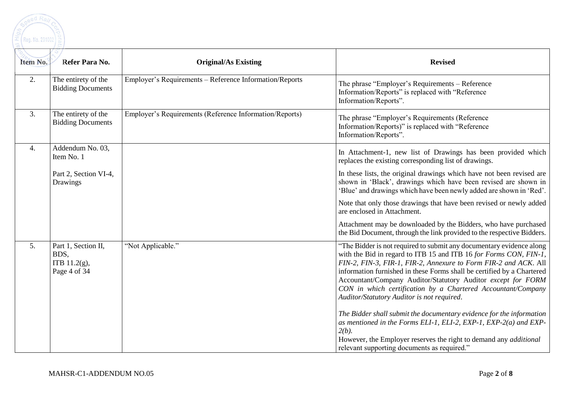

| Item No. | Refer Para No.                                                 | <b>Original/As Existing</b>                             | <b>Revised</b>                                                                                                                                                                                                                                                                                                                                                                                                                                                       |
|----------|----------------------------------------------------------------|---------------------------------------------------------|----------------------------------------------------------------------------------------------------------------------------------------------------------------------------------------------------------------------------------------------------------------------------------------------------------------------------------------------------------------------------------------------------------------------------------------------------------------------|
| 2.       | The entirety of the<br><b>Bidding Documents</b>                | Employer's Requirements - Reference Information/Reports | The phrase "Employer's Requirements - Reference<br>Information/Reports" is replaced with "Reference<br>Information/Reports".                                                                                                                                                                                                                                                                                                                                         |
| 3.       | The entirety of the<br><b>Bidding Documents</b>                | Employer's Requirements (Reference Information/Reports) | The phrase "Employer's Requirements (Reference<br>Information/Reports)" is replaced with "Reference<br>Information/Reports".                                                                                                                                                                                                                                                                                                                                         |
| 4.       | Addendum No. 03,<br>Item No. 1                                 |                                                         | In Attachment-1, new list of Drawings has been provided which<br>replaces the existing corresponding list of drawings.                                                                                                                                                                                                                                                                                                                                               |
|          | Part 2, Section VI-4,<br>Drawings                              |                                                         | In these lists, the original drawings which have not been revised are<br>shown in 'Black', drawings which have been revised are shown in<br>'Blue' and drawings which have been newly added are shown in 'Red'.                                                                                                                                                                                                                                                      |
|          |                                                                |                                                         | Note that only those drawings that have been revised or newly added<br>are enclosed in Attachment.                                                                                                                                                                                                                                                                                                                                                                   |
|          |                                                                |                                                         | Attachment may be downloaded by the Bidders, who have purchased<br>the Bid Document, through the link provided to the respective Bidders.                                                                                                                                                                                                                                                                                                                            |
| 5.       | Part 1, Section II,<br>BDS,<br>ITB $11.2(g)$ ,<br>Page 4 of 34 | "Not Applicable."                                       | "The Bidder is not required to submit any documentary evidence along<br>with the Bid in regard to ITB 15 and ITB 16 for Forms CON, FIN-1,<br>FIN-2, FIN-3, FIR-1, FIR-2, Annexure to Form FIR-2 and ACK. All<br>information furnished in these Forms shall be certified by a Chartered<br>Accountant/Company Auditor/Statutory Auditor except for FORM<br>CON in which certification by a Chartered Accountant/Company<br>Auditor/Statutory Auditor is not required. |
|          |                                                                |                                                         | The Bidder shall submit the documentary evidence for the information<br>as mentioned in the Forms ELI-1, ELI-2, EXP-1, EXP-2(a) and EXP-<br>$2(b)$ .<br>However, the Employer reserves the right to demand any <i>additional</i><br>relevant supporting documents as required."                                                                                                                                                                                      |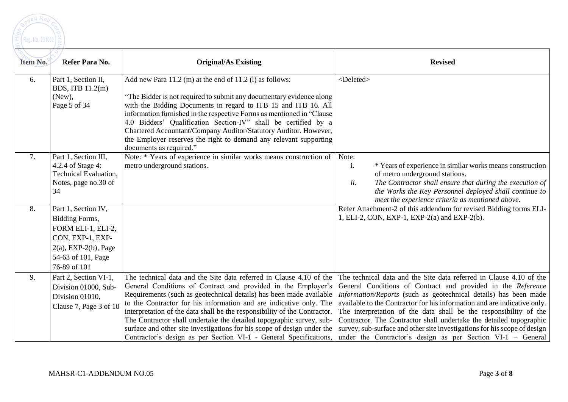

| Item No. | Refer Para No.                                                                                                                                       | <b>Original/As Existing</b>                                                                                                                                                                                                                                                                                                                                                                                                                                                                                                                                                            | <b>Revised</b>                                                                                                                                                                                                                                                                                                                                                                                                                                                                                                                                                              |  |
|----------|------------------------------------------------------------------------------------------------------------------------------------------------------|----------------------------------------------------------------------------------------------------------------------------------------------------------------------------------------------------------------------------------------------------------------------------------------------------------------------------------------------------------------------------------------------------------------------------------------------------------------------------------------------------------------------------------------------------------------------------------------|-----------------------------------------------------------------------------------------------------------------------------------------------------------------------------------------------------------------------------------------------------------------------------------------------------------------------------------------------------------------------------------------------------------------------------------------------------------------------------------------------------------------------------------------------------------------------------|--|
| 6.       | Part 1, Section II,<br>BDS, ITB 11.2(m)<br>(New),<br>Page 5 of 34                                                                                    | Add new Para 11.2 (m) at the end of 11.2 (l) as follows:<br>"The Bidder is not required to submit any documentary evidence along<br>with the Bidding Documents in regard to ITB 15 and ITB 16. All<br>information furnished in the respective Forms as mentioned in "Clause<br>4.0 Bidders' Qualification Section-IV" shall be certified by a<br>Chartered Accountant/Company Auditor/Statutory Auditor. However,<br>the Employer reserves the right to demand any relevant supporting<br>documents as required."                                                                      | <deleted></deleted>                                                                                                                                                                                                                                                                                                                                                                                                                                                                                                                                                         |  |
| 7.       | Part 1, Section III,<br>4.2.4 of Stage 4:<br>Technical Evaluation,<br>Notes, page no.30 of<br>34                                                     | Note: * Years of experience in similar works means construction of<br>metro underground stations.                                                                                                                                                                                                                                                                                                                                                                                                                                                                                      | Note:<br>* Years of experience in similar works means construction<br>i.<br>of metro underground stations.<br>ii.<br>The Contractor shall ensure that during the execution of<br>the Works the Key Personnel deployed shall continue to<br>meet the experience criteria as mentioned above.                                                                                                                                                                                                                                                                                 |  |
| 8.       | Part 1, Section IV,<br>Bidding Forms,<br>FORM ELI-1, ELI-2,<br>CON, EXP-1, EXP-<br>$2(a)$ , EXP- $2(b)$ , Page<br>54-63 of 101, Page<br>76-89 of 101 |                                                                                                                                                                                                                                                                                                                                                                                                                                                                                                                                                                                        | Refer Attachment-2 of this addendum for revised Bidding forms ELI-<br>1, ELI-2, CON, EXP-1, EXP-2(a) and EXP-2(b).                                                                                                                                                                                                                                                                                                                                                                                                                                                          |  |
| 9.       | Part 2, Section VI-1,<br>Division 01000, Sub-<br>Division 01010.<br>Clause 7, Page 3 of 10                                                           | The technical data and the Site data referred in Clause 4.10 of the<br>General Conditions of Contract and provided in the Employer's<br>Requirements (such as geotechnical details) has been made available<br>to the Contractor for his information and are indicative only. The<br>interpretation of the data shall be the responsibility of the Contractor.<br>The Contractor shall undertake the detailed topographic survey, sub-<br>surface and other site investigations for his scope of design under the<br>Contractor's design as per Section VI-1 - General Specifications, | The technical data and the Site data referred in Clause 4.10 of the<br>General Conditions of Contract and provided in the Reference<br>Information/Reports (such as geotechnical details) has been made<br>available to the Contractor for his information and are indicative only.<br>The interpretation of the data shall be the responsibility of the<br>Contractor. The Contractor shall undertake the detailed topographic<br>survey, sub-surface and other site investigations for his scope of design<br>under the Contractor's design as per Section VI-1 - General |  |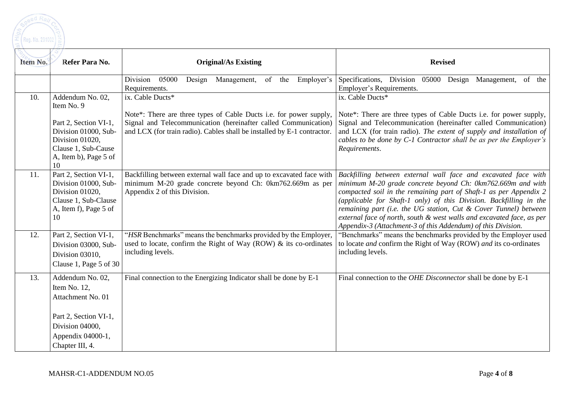

| Item No. | Refer Para No.                                                                                                                                           | <b>Original/As Existing</b>                                                                                                                                                                                                          | <b>Revised</b>                                                                                                                                                                                                                                                                                                                                                                                                                                                                          |  |
|----------|----------------------------------------------------------------------------------------------------------------------------------------------------------|--------------------------------------------------------------------------------------------------------------------------------------------------------------------------------------------------------------------------------------|-----------------------------------------------------------------------------------------------------------------------------------------------------------------------------------------------------------------------------------------------------------------------------------------------------------------------------------------------------------------------------------------------------------------------------------------------------------------------------------------|--|
|          |                                                                                                                                                          | Design<br>Division<br>05000<br>Management,<br>of the<br>Requirements.                                                                                                                                                                | Employer's Specifications, Division<br>05000<br>Design Management, of the<br>Employer's Requirements.                                                                                                                                                                                                                                                                                                                                                                                   |  |
| 10.      | Addendum No. 02,<br>Item No. 9<br>Part 2, Section VI-1,<br>Division 01000, Sub-<br>Division 01020,<br>Clause 1, Sub-Cause<br>A, Item b), Page 5 of<br>10 | ix. Cable Ducts*<br>Note*: There are three types of Cable Ducts i.e. for power supply,<br>Signal and Telecommunication (hereinafter called Communication)<br>and LCX (for train radio). Cables shall be installed by E-1 contractor. | ix. Cable Ducts*<br>Note*: There are three types of Cable Ducts i.e. for power supply,<br>Signal and Telecommunication (hereinafter called Communication)<br>and LCX (for train radio). The extent of supply and installation of<br>cables to be done by C-1 Contractor shall be as per the Employer's<br>Requirements.                                                                                                                                                                 |  |
| 11.      | Part 2, Section VI-1,<br>Division 01000, Sub-<br>Division 01020,<br>Clause 1, Sub-Clause<br>A, Item f), Page 5 of<br>10                                  | Backfilling between external wall face and up to excavated face with<br>minimum M-20 grade concrete beyond Ch: 0km762.669m as per<br>Appendix 2 of this Division.                                                                    | Backfilling between external wall face and excavated face with<br>minimum M-20 grade concrete beyond Ch: 0km762.669m and with<br>compacted soil in the remaining part of Shaft-1 as per Appendix $2$<br>(applicable for Shaft-1 only) of this Division. Backfilling in the<br>remaining part (i.e. the UG station, Cut & Cover Tunnel) between<br>external face of north, south & west walls and excavated face, as per<br>Appendix-3 (Attachment-3 of this Addendum) of this Division. |  |
| 12.      | Part 2, Section VI-1,<br>Division 03000, Sub-<br>Division 03010.<br>Clause 1, Page 5 of 30                                                               | "HSR Benchmarks" means the benchmarks provided by the Employer,<br>used to locate, confirm the Right of Way (ROW) & its co-ordinates<br>including levels.                                                                            | "Benchmarks" means the benchmarks provided by the Employer used<br>to locate and confirm the Right of Way (ROW) and its co-ordinates<br>including levels.                                                                                                                                                                                                                                                                                                                               |  |
| 13.      | Addendum No. 02,<br>Item No. 12,<br>Attachment No. 01<br>Part 2, Section VI-1,<br>Division 04000,<br>Appendix 04000-1,<br>Chapter III, 4.                | Final connection to the Energizing Indicator shall be done by E-1                                                                                                                                                                    | Final connection to the OHE Disconnector shall be done by E-1                                                                                                                                                                                                                                                                                                                                                                                                                           |  |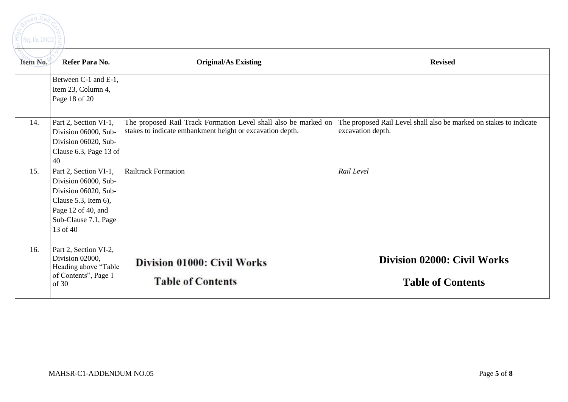ed Ra

| Item No. | Refer Para No.                                                                                                                                             | <b>Original/As Existing</b>                                                                                                  | <b>Revised</b>                                                                          |  |
|----------|------------------------------------------------------------------------------------------------------------------------------------------------------------|------------------------------------------------------------------------------------------------------------------------------|-----------------------------------------------------------------------------------------|--|
|          | Between C-1 and E-1,<br>Item 23, Column 4,<br>Page 18 of 20                                                                                                |                                                                                                                              |                                                                                         |  |
| 14.      | Part 2, Section VI-1,<br>Division 06000, Sub-<br>Division 06020, Sub-<br>Clause 6.3, Page 13 of<br>40                                                      | The proposed Rail Track Formation Level shall also be marked on<br>stakes to indicate embankment height or excavation depth. | The proposed Rail Level shall also be marked on stakes to indicate<br>excavation depth. |  |
| 15.      | Part 2, Section VI-1,<br>Division 06000, Sub-<br>Division 06020, Sub-<br>Clause 5.3, Item $6$ ),<br>Page 12 of 40, and<br>Sub-Clause 7.1, Page<br>13 of 40 | <b>Railtrack Formation</b>                                                                                                   | Rail Level                                                                              |  |
| 16.      | Part 2, Section VI-2,<br>Division 02000,<br>Heading above "Table<br>of Contents", Page 1<br>of 30                                                          | Division 01000: Civil Works<br><b>Table of Contents</b>                                                                      | <b>Division 02000: Civil Works</b><br><b>Table of Contents</b>                          |  |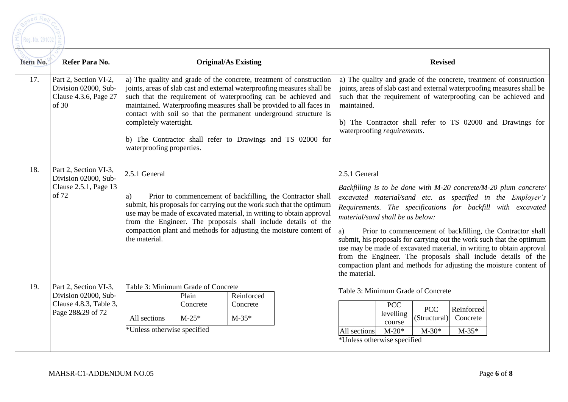

| Item No. | Refer Para No.                                                                              | <b>Original/As Existing</b>                                                                                                                                                                                                                                                                                                                                                                                                                                                       | <b>Revised</b>                                                                                                                                                                                                                                                                                                                                                                                                                                                                                                                                                                                                                    |
|----------|---------------------------------------------------------------------------------------------|-----------------------------------------------------------------------------------------------------------------------------------------------------------------------------------------------------------------------------------------------------------------------------------------------------------------------------------------------------------------------------------------------------------------------------------------------------------------------------------|-----------------------------------------------------------------------------------------------------------------------------------------------------------------------------------------------------------------------------------------------------------------------------------------------------------------------------------------------------------------------------------------------------------------------------------------------------------------------------------------------------------------------------------------------------------------------------------------------------------------------------------|
| 17.      | Part 2, Section VI-2,<br>Division 02000, Sub-<br>Clause 4.3.6, Page 27<br>of 30             | a) The quality and grade of the concrete, treatment of construction<br>joints, areas of slab cast and external waterproofing measures shall be<br>such that the requirement of waterproofing can be achieved and<br>maintained. Waterproofing measures shall be provided to all faces in<br>contact with soil so that the permanent underground structure is<br>completely watertight.<br>b) The Contractor shall refer to Drawings and TS 02000 for<br>waterproofing properties. | a) The quality and grade of the concrete, treatment of construction<br>joints, areas of slab cast and external waterproofing measures shall be<br>such that the requirement of waterproofing can be achieved and<br>maintained.<br>b) The Contractor shall refer to TS 02000 and Drawings for<br>waterproofing requirements.                                                                                                                                                                                                                                                                                                      |
| 18.      | Part 2, Section VI-3,<br>Division 02000, Sub-<br>Clause 2.5.1, Page 13<br>of 72             | 2.5.1 General<br>Prior to commencement of backfilling, the Contractor shall<br>a)<br>submit, his proposals for carrying out the work such that the optimum<br>use may be made of excavated material, in writing to obtain approval<br>from the Engineer. The proposals shall include details of the<br>compaction plant and methods for adjusting the moisture content of<br>the material.                                                                                        | 2.5.1 General<br>Backfilling is to be done with M-20 concrete/M-20 plum concrete/<br>excavated material/sand etc. as specified in the Employer's<br>Requirements. The specifications for backfill with excavated<br>material/sand shall be as below:<br>a)<br>Prior to commencement of backfilling, the Contractor shall<br>submit, his proposals for carrying out the work such that the optimum<br>use may be made of excavated material, in writing to obtain approval<br>from the Engineer. The proposals shall include details of the<br>compaction plant and methods for adjusting the moisture content of<br>the material. |
| 19.      | Part 2, Section VI-3,<br>Division 02000, Sub-<br>Clause 4.8.3, Table 3,<br>Page 28&29 of 72 | Table 3: Minimum Grade of Concrete<br>Plain<br>Reinforced<br>Concrete<br>Concrete<br>$M-35*$<br>All sections<br>$M-25*$<br>*Unless otherwise specified                                                                                                                                                                                                                                                                                                                            | Table 3: Minimum Grade of Concrete<br><b>PCC</b><br><b>PCC</b><br>Reinforced<br>levelling<br>(Structural)<br>Concrete<br>course<br>$M-20*$<br>$M-30*$<br>$M-35*$<br>All sections<br>*Unless otherwise specified                                                                                                                                                                                                                                                                                                                                                                                                                   |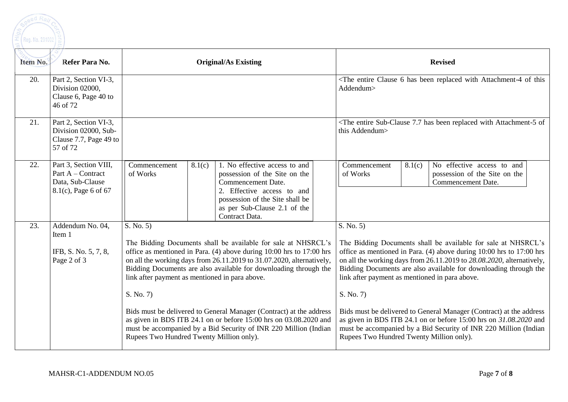

| Item No. | Refer Para No.                                                                            | <b>Original/As Existing</b>                                                                                                                                                                                                                                                                                                                                                                                                                                                                                                                                                                                                |                                                                                                                                                                                                                       | <b>Revised</b>                                                                                                                                                                                                                                                                                                                                                                                                                                                                                                                                                                                                             |
|----------|-------------------------------------------------------------------------------------------|----------------------------------------------------------------------------------------------------------------------------------------------------------------------------------------------------------------------------------------------------------------------------------------------------------------------------------------------------------------------------------------------------------------------------------------------------------------------------------------------------------------------------------------------------------------------------------------------------------------------------|-----------------------------------------------------------------------------------------------------------------------------------------------------------------------------------------------------------------------|----------------------------------------------------------------------------------------------------------------------------------------------------------------------------------------------------------------------------------------------------------------------------------------------------------------------------------------------------------------------------------------------------------------------------------------------------------------------------------------------------------------------------------------------------------------------------------------------------------------------------|
| 20.      | Part 2, Section VI-3,<br>Division 02000,<br>Clause 6, Page 40 to<br>46 of 72              |                                                                                                                                                                                                                                                                                                                                                                                                                                                                                                                                                                                                                            |                                                                                                                                                                                                                       | <the 6="" attachment-4="" been="" clause="" entire="" has="" of="" replaced="" this<br="" with="">Addendum&gt;</the>                                                                                                                                                                                                                                                                                                                                                                                                                                                                                                       |
| 21.      | Part 2, Section VI-3,<br>Division 02000, Sub-<br>Clause 7.7, Page 49 to<br>57 of 72       |                                                                                                                                                                                                                                                                                                                                                                                                                                                                                                                                                                                                                            |                                                                                                                                                                                                                       | <the 7.7="" attachment-5="" been="" entire="" has="" of<br="" replaced="" sub-clause="" with="">this Addendum&gt;</the>                                                                                                                                                                                                                                                                                                                                                                                                                                                                                                    |
| 22.      | Part 3, Section VIII,<br>Part A - Contract<br>Data, Sub-Clause<br>$8.1(c)$ , Page 6 of 67 | Commencement<br>8.1(c)<br>of Works                                                                                                                                                                                                                                                                                                                                                                                                                                                                                                                                                                                         | $\overline{1}$ . No effective access to and<br>possession of the Site on the<br>Commencement Date.<br>2. Effective access to and<br>possession of the Site shall be<br>as per Sub-Clause 2.1 of the<br>Contract Data. | No effective access to and<br>Commencement<br>8.1(c)<br>of Works<br>possession of the Site on the<br><b>Commencement Date.</b>                                                                                                                                                                                                                                                                                                                                                                                                                                                                                             |
| 23.      | Addendum No. 04,<br>Item 1<br>IFB, S. No. 5, 7, 8,<br>Page 2 of 3                         | S. No. 5)<br>The Bidding Documents shall be available for sale at NHSRCL's<br>office as mentioned in Para. (4) above during 10:00 hrs to 17:00 hrs<br>on all the working days from 26.11.2019 to 31.07.2020, alternatively,<br>Bidding Documents are also available for downloading through the<br>link after payment as mentioned in para above.<br>S. No. 7)<br>Bids must be delivered to General Manager (Contract) at the address<br>as given in BDS ITB 24.1 on or before 15:00 hrs on 03.08.2020 and<br>must be accompanied by a Bid Security of INR 220 Million (Indian<br>Rupees Two Hundred Twenty Million only). |                                                                                                                                                                                                                       | S. No. 5)<br>The Bidding Documents shall be available for sale at NHSRCL's<br>office as mentioned in Para. (4) above during 10:00 hrs to 17:00 hrs<br>on all the working days from 26.11.2019 to 28.08.2020, alternatively,<br>Bidding Documents are also available for downloading through the<br>link after payment as mentioned in para above.<br>S. No. 7)<br>Bids must be delivered to General Manager (Contract) at the address<br>as given in BDS ITB 24.1 on or before 15:00 hrs on 31.08.2020 and<br>must be accompanied by a Bid Security of INR 220 Million (Indian<br>Rupees Two Hundred Twenty Million only). |